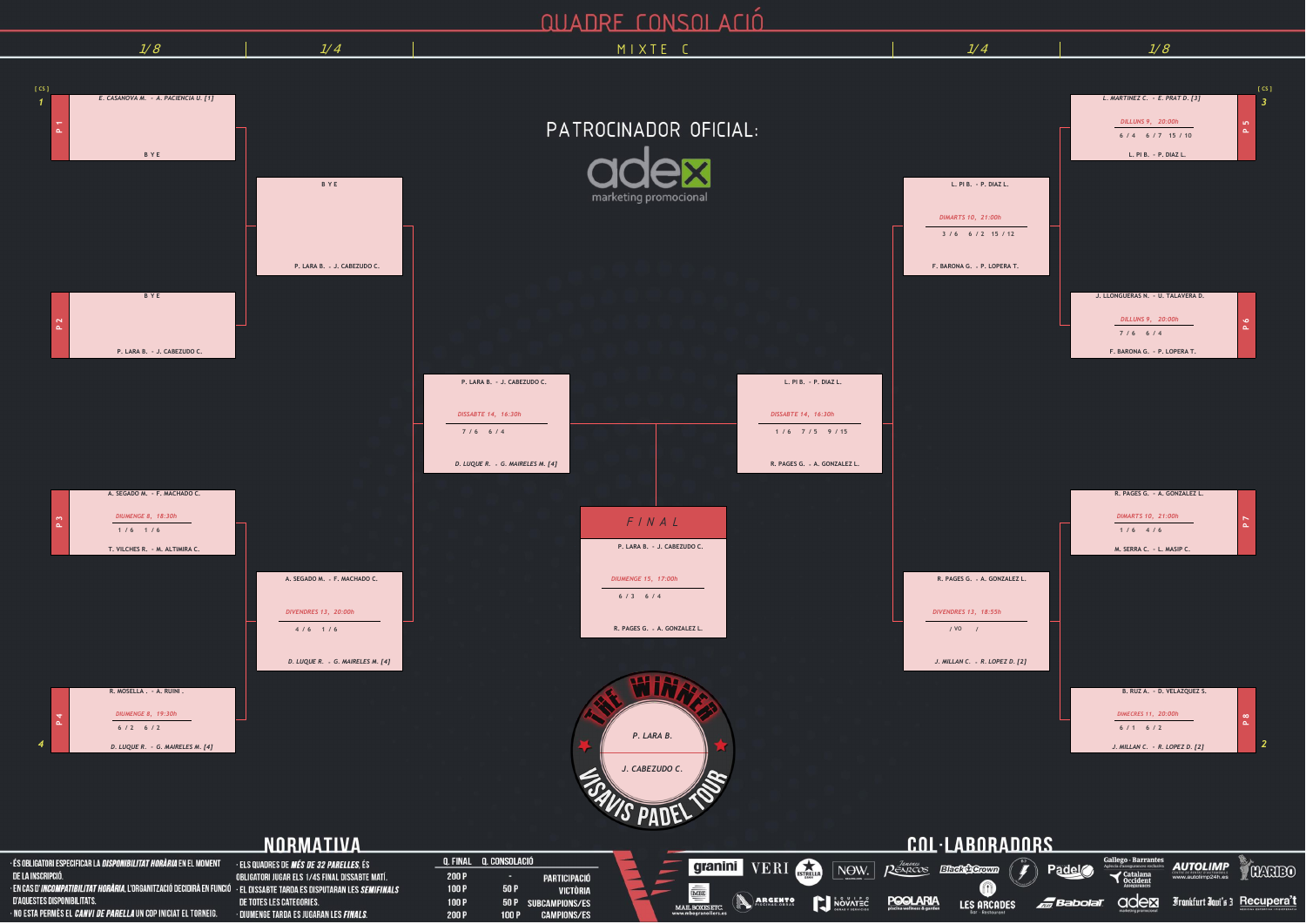## **QUADRE CONSOLACIÓ**

| VI.<br>↗<br>$\mathcal{L}^{\text{max}}_{\text{max}}$ and $\mathcal{L}^{\text{max}}_{\text{max}}$ and $\mathcal{L}^{\text{max}}_{\text{max}}$ |  |  |
|---------------------------------------------------------------------------------------------------------------------------------------------|--|--|
|                                                                                                                                             |  |  |